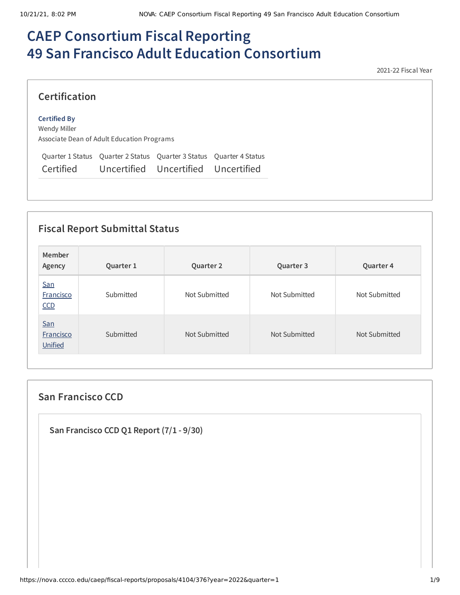# **CAEP Consortium Fiscal Reporting 49 San Francisco Adult Education Consortium**

2021-22 Fiscal Year

## **Certification**

#### **Certified By**

Wendy Miller Associate Dean of Adult Education Programs

Quarter 1 Status Quarter 2 Status Quarter 3 Status Quarter 4 Status Certified Uncertified Uncertified Uncertified

## **Fiscal Report Submittal Status**

| Member<br>Agency                   | Quarter 1 | Quarter 2     | Quarter 3     | Quarter 4     |
|------------------------------------|-----------|---------------|---------------|---------------|
| San<br>Francisco<br>CCD            | Submitted | Not Submitted | Not Submitted | Not Submitted |
| San<br><b>Francisco</b><br>Unified | Submitted | Not Submitted | Not Submitted | Not Submitted |

### **San Francisco CCD**

**San Francisco CCD Q1 Report (7/1 - 9/30)**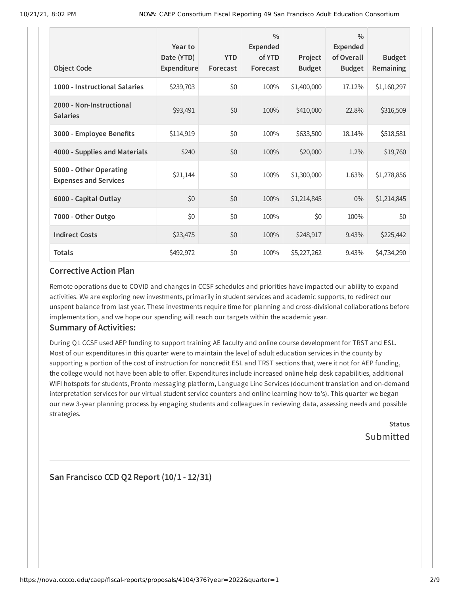| <b>Object Code</b>                                     | Year to<br>Date (YTD)<br>Expenditure | <b>YTD</b><br>Forecast | $\frac{0}{0}$<br><b>Expended</b><br>of YTD<br>Forecast | Project<br><b>Budget</b> | $\frac{0}{0}$<br>Expended<br>of Overall<br><b>Budget</b> | <b>Budget</b><br>Remaining |
|--------------------------------------------------------|--------------------------------------|------------------------|--------------------------------------------------------|--------------------------|----------------------------------------------------------|----------------------------|
| 1000 - Instructional Salaries                          | \$239,703                            | \$0                    | 100%                                                   | \$1,400,000              | 17.12%                                                   | \$1,160,297                |
| 2000 - Non-Instructional<br><b>Salaries</b>            | \$93,491                             | \$0                    | 100%                                                   | \$410,000                | 22.8%                                                    | \$316,509                  |
| 3000 - Employee Benefits                               | \$114,919                            | \$0                    | 100%                                                   | \$633,500                | 18.14%                                                   | \$518,581                  |
| 4000 - Supplies and Materials                          | \$240                                | \$0                    | 100%                                                   | \$20,000                 | 1.2%                                                     | \$19,760                   |
| 5000 - Other Operating<br><b>Expenses and Services</b> | \$21,144                             | \$0                    | 100%                                                   | \$1,300,000              | 1.63%                                                    | \$1,278,856                |
| 6000 - Capital Outlay                                  | \$0                                  | \$0                    | 100%                                                   | \$1,214,845              | $0\%$                                                    | \$1,214,845                |
| 7000 - Other Outgo                                     | \$0                                  | \$0                    | 100%                                                   | \$0                      | 100%                                                     | \$0                        |
| <b>Indirect Costs</b>                                  | \$23,475                             | \$0                    | 100%                                                   | \$248,917                | 9.43%                                                    | \$225,442                  |
| <b>Totals</b>                                          | \$492,972                            | \$0                    | 100%                                                   | \$5,227,262              | $9.43\%$                                                 | \$4,734,290                |

#### **Corrective Action Plan**

Remote operations due to COVID and changes in CCSF schedules and priorities have impacted our ability to expand activities. We are exploring new investments, primarily in student services and academic supports, to redirect our unspent balance from last year. These investments require time for planning and cross-divisional collaborations before implementation, and we hope our spending will reach our targets within the academic year.

#### **Summary of Activities:**

During Q1 CCSF used AEP funding to support training AE faculty and online course development for TRST and ESL. Most of our expenditures in this quarter were to maintain the level of adult education services in the county by supporting a portion of the cost of instruction for noncredit ESL and TRST sections that, were it not for AEP funding, the college would not have been able to offer. Expenditures include increased online help desk capabilities, additional WIFI hotspots for students, Pronto messaging platform, Language Line Services (document translation and on-demand interpretation services for our virtual student service counters and online learning how-to's). This quarter we began our new 3-year planning process by engaging students and colleagues in reviewing data, assessing needs and possible strategies.

> **Status** Submitted

**San Francisco CCD Q2 Report (10/1 - 12/31)**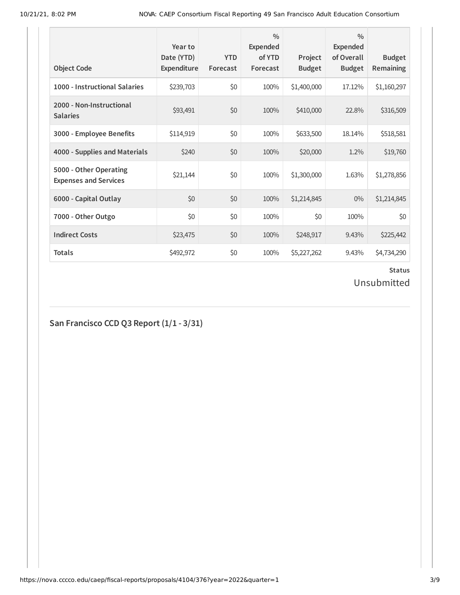| <b>Object Code</b>                                     | Year to<br>Date (YTD)<br>Expenditure | <b>YTD</b><br>Forecast | $\frac{0}{0}$<br>Expended<br>of YTD<br>Forecast | Project<br><b>Budget</b> | $\frac{0}{0}$<br><b>Expended</b><br>of Overall<br><b>Budget</b> | <b>Budget</b><br><b>Remaining</b> |
|--------------------------------------------------------|--------------------------------------|------------------------|-------------------------------------------------|--------------------------|-----------------------------------------------------------------|-----------------------------------|
| 1000 - Instructional Salaries                          | \$239,703                            | \$0                    | 100%                                            | \$1,400,000              | 17.12%                                                          | \$1,160,297                       |
| 2000 - Non-Instructional<br><b>Salaries</b>            | \$93,491                             | \$0                    | 100%                                            | \$410,000                | 22.8%                                                           | \$316,509                         |
| 3000 - Employee Benefits                               | \$114,919                            | \$0                    | 100%                                            | \$633,500                | 18.14%                                                          | \$518,581                         |
| 4000 - Supplies and Materials                          | \$240                                | \$0                    | 100%                                            | \$20,000                 | 1.2%                                                            | \$19,760                          |
| 5000 - Other Operating<br><b>Expenses and Services</b> | \$21,144                             | \$0                    | 100%                                            | \$1,300,000              | 1.63%                                                           | \$1,278,856                       |
| 6000 - Capital Outlay                                  | \$0                                  | \$0                    | 100%                                            | \$1,214,845              | $0\%$                                                           | \$1,214,845                       |
| 7000 - Other Outgo                                     | \$0                                  | \$0                    | 100%                                            | \$0                      | 100%                                                            | \$0                               |
| <b>Indirect Costs</b>                                  | \$23,475                             | \$0                    | 100%                                            | \$248,917                | 9.43%                                                           | \$225,442                         |
| <b>Totals</b>                                          | \$492,972                            | \$0                    | 100%                                            | \$5,227,262              | 9.43%                                                           | \$4,734,290                       |

Unsubmitted

**San Francisco CCD Q3 Report (1/1 - 3/31)**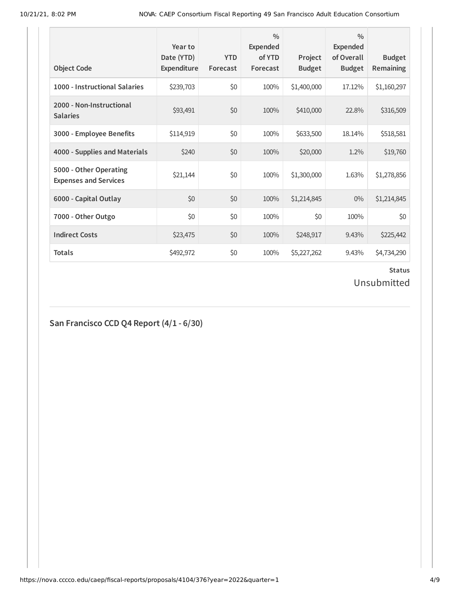| <b>Object Code</b>                                     | Year to<br>Date (YTD)<br>Expenditure | <b>YTD</b><br>Forecast | $\frac{0}{0}$<br>Expended<br>of YTD<br>Forecast | Project<br><b>Budget</b> | $\frac{0}{0}$<br><b>Expended</b><br>of Overall<br><b>Budget</b> | <b>Budget</b><br><b>Remaining</b> |
|--------------------------------------------------------|--------------------------------------|------------------------|-------------------------------------------------|--------------------------|-----------------------------------------------------------------|-----------------------------------|
| 1000 - Instructional Salaries                          | \$239,703                            | \$0                    | 100%                                            | \$1,400,000              | 17.12%                                                          | \$1,160,297                       |
| 2000 - Non-Instructional<br><b>Salaries</b>            | \$93,491                             | \$0                    | 100%                                            | \$410,000                | 22.8%                                                           | \$316,509                         |
| 3000 - Employee Benefits                               | \$114,919                            | \$0                    | 100%                                            | \$633,500                | 18.14%                                                          | \$518,581                         |
| 4000 - Supplies and Materials                          | \$240                                | \$0                    | 100%                                            | \$20,000                 | 1.2%                                                            | \$19,760                          |
| 5000 - Other Operating<br><b>Expenses and Services</b> | \$21,144                             | \$0                    | 100%                                            | \$1,300,000              | 1.63%                                                           | \$1,278,856                       |
| 6000 - Capital Outlay                                  | \$0                                  | \$0                    | 100%                                            | \$1,214,845              | $0\%$                                                           | \$1,214,845                       |
| 7000 - Other Outgo                                     | \$0                                  | \$0                    | 100%                                            | \$0                      | 100%                                                            | \$0                               |
| <b>Indirect Costs</b>                                  | \$23,475                             | \$0                    | 100%                                            | \$248,917                | 9.43%                                                           | \$225,442                         |
| <b>Totals</b>                                          | \$492,972                            | \$0                    | 100%                                            | \$5,227,262              | 9.43%                                                           | \$4,734,290                       |

Unsubmitted

# **San Francisco CCD Q4 Report (4/1 - 6/30)**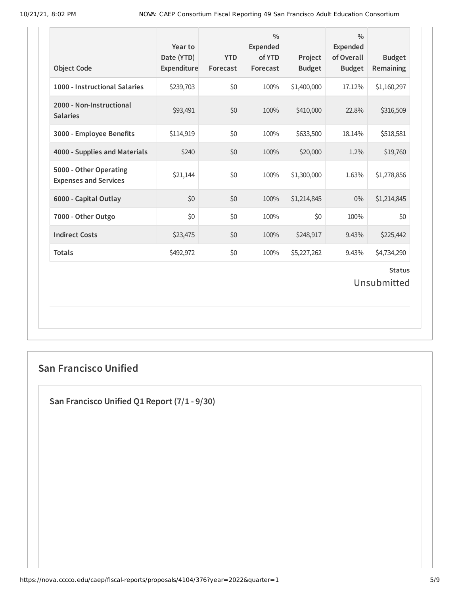| <b>Object Code</b>                                     | Year to<br>Date (YTD)<br>Expenditure | <b>YTD</b><br>Forecast | $\frac{0}{0}$<br><b>Expended</b><br>of YTD<br>Forecast | Project<br><b>Budget</b> | $\frac{0}{0}$<br><b>Expended</b><br>of Overall<br><b>Budget</b> | <b>Budget</b><br><b>Remaining</b> |
|--------------------------------------------------------|--------------------------------------|------------------------|--------------------------------------------------------|--------------------------|-----------------------------------------------------------------|-----------------------------------|
| 1000 - Instructional Salaries                          | \$239,703                            | \$0                    | 100%                                                   | \$1,400,000              | 17.12%                                                          | \$1,160,297                       |
| 2000 - Non-Instructional<br><b>Salaries</b>            | \$93,491                             | \$0                    | 100%                                                   | \$410,000                | 22.8%                                                           | \$316,509                         |
| 3000 - Employee Benefits                               | \$114,919                            | \$0                    | 100%                                                   | \$633,500                | 18.14%                                                          | \$518,581                         |
| 4000 - Supplies and Materials                          | \$240                                | \$0                    | 100%                                                   | \$20,000                 | 1.2%                                                            | \$19,760                          |
| 5000 - Other Operating<br><b>Expenses and Services</b> | \$21,144                             | \$0                    | 100%                                                   | \$1,300,000              | 1.63%                                                           | \$1,278,856                       |
| 6000 - Capital Outlay                                  | \$0                                  | \$0                    | 100%                                                   | \$1,214,845              | 0%                                                              | \$1,214,845                       |
| 7000 - Other Outgo                                     | \$0                                  | \$0                    | 100%                                                   | \$0                      | 100%                                                            | \$0                               |
| <b>Indirect Costs</b>                                  | \$23,475                             | \$0                    | 100%                                                   | \$248,917                | 9.43%                                                           | \$225,442                         |
| <b>Totals</b>                                          | \$492,972                            | \$0                    | 100%                                                   | \$5,227,262              | 9.43%                                                           | \$4,734,290                       |
|                                                        |                                      |                        |                                                        |                          |                                                                 | <b>Status</b><br>Unsubmitted      |

## **San Francisco Unified**

**San Francisco Unified Q1 Report (7/1 - 9/30)**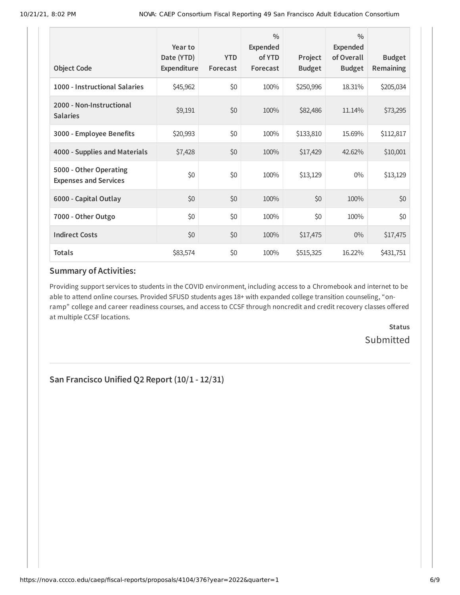| <b>Object Code</b>                                     | Year to<br>Date (YTD)<br>Expenditure | <b>YTD</b><br>Forecast | $\frac{0}{0}$<br>Expended<br>of YTD<br>Forecast | Project<br><b>Budget</b> | $\frac{0}{0}$<br>Expended<br>of Overall<br><b>Budget</b> | <b>Budget</b><br>Remaining |
|--------------------------------------------------------|--------------------------------------|------------------------|-------------------------------------------------|--------------------------|----------------------------------------------------------|----------------------------|
| 1000 - Instructional Salaries                          | \$45,962                             | \$0                    | 100%                                            | \$250,996                | 18.31%                                                   | \$205,034                  |
| 2000 - Non-Instructional<br><b>Salaries</b>            | \$9,191                              | \$0                    | 100%                                            | \$82,486                 | 11.14%                                                   | \$73,295                   |
| 3000 - Employee Benefits                               | \$20,993                             | \$0                    | 100%                                            | \$133,810                | 15.69%                                                   | \$112,817                  |
| 4000 - Supplies and Materials                          | \$7,428                              | \$0                    | 100%                                            | \$17,429                 | 42.62%                                                   | \$10,001                   |
| 5000 - Other Operating<br><b>Expenses and Services</b> | \$0                                  | \$0                    | 100%                                            | \$13,129                 | $0\%$                                                    | \$13,129                   |
| 6000 - Capital Outlay                                  | \$0                                  | \$0                    | 100%                                            | \$0                      | 100%                                                     | \$0                        |
| 7000 - Other Outgo                                     | \$0                                  | \$0                    | 100%                                            | \$0                      | 100%                                                     | \$0                        |
| <b>Indirect Costs</b>                                  | \$0                                  | \$0                    | 100%                                            | \$17,475                 | $0\%$                                                    | \$17,475                   |
| <b>Totals</b>                                          | \$83,574                             | \$0                    | 100%                                            | \$515,325                | 16.22%                                                   | \$431,751                  |

#### **Summary of Activities:**

Providing support services to students in the COVID environment, including access to a Chromebook and internet to be able to attend online courses. Provided SFUSD students ages 18+ with expanded college transition counseling, "onramp" college and career readiness courses, and access to CCSF through noncredit and credit recovery classes offered at multiple CCSF locations.

> **Status Submitted**

**San Francisco Unified Q2 Report (10/1 - 12/31)**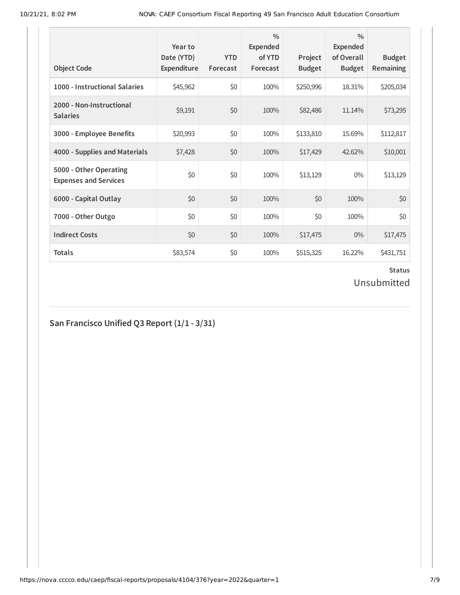| <b>Object Code</b>                                     | Year to<br>Date (YTD)<br>Expenditure | <b>YTD</b><br>Forecast | $\frac{0}{0}$<br><b>Expended</b><br>of YTD<br>Forecast | Project<br><b>Budget</b> | $\frac{0}{0}$<br>Expended<br>of Overall<br><b>Budget</b> | <b>Budget</b><br>Remaining |
|--------------------------------------------------------|--------------------------------------|------------------------|--------------------------------------------------------|--------------------------|----------------------------------------------------------|----------------------------|
| 1000 - Instructional Salaries                          | \$45,962                             | \$0                    | 100%                                                   | \$250,996                | 18.31%                                                   | \$205,034                  |
| 2000 - Non-Instructional<br><b>Salaries</b>            | \$9,191                              | \$0                    | 100%                                                   | \$82,486                 | 11.14%                                                   | \$73,295                   |
| 3000 - Employee Benefits                               | \$20,993                             | \$0                    | 100%                                                   | \$133,810                | 15.69%                                                   | \$112,817                  |
| 4000 - Supplies and Materials                          | \$7,428                              | \$0                    | 100%                                                   | \$17,429                 | 42.62%                                                   | \$10,001                   |
| 5000 - Other Operating<br><b>Expenses and Services</b> | \$0                                  | \$0                    | 100%                                                   | \$13,129                 | $0\%$                                                    | \$13,129                   |
| 6000 - Capital Outlay                                  | \$0                                  | \$0                    | 100%                                                   | \$0                      | 100%                                                     | \$0                        |
| 7000 - Other Outgo                                     | \$0                                  | \$0                    | 100%                                                   | \$0                      | 100%                                                     | \$0\$                      |
| <b>Indirect Costs</b>                                  | \$0                                  | \$0                    | 100%                                                   | \$17,475                 | $0\%$                                                    | \$17,475                   |
| <b>Totals</b>                                          | \$83,574                             | \$0                    | 100%                                                   | \$515,325                | 16.22%                                                   | \$431,751                  |

Unsubmitted

# **San Francisco Unified Q3 Report (1/1 - 3/31)**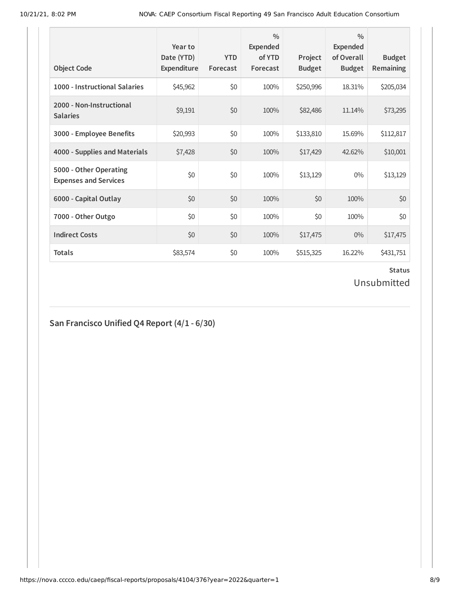| <b>Object Code</b>                                     | Year to<br>Date (YTD)<br>Expenditure | <b>YTD</b><br>Forecast | $\frac{0}{0}$<br>Expended<br>of YTD<br>Forecast | Project<br><b>Budget</b> | $\frac{0}{0}$<br>Expended<br>of Overall<br><b>Budget</b> | <b>Budget</b><br><b>Remaining</b> |
|--------------------------------------------------------|--------------------------------------|------------------------|-------------------------------------------------|--------------------------|----------------------------------------------------------|-----------------------------------|
| 1000 - Instructional Salaries                          | \$45,962                             | \$0                    | 100%                                            | \$250,996                | 18.31%                                                   | \$205,034                         |
| 2000 - Non-Instructional<br><b>Salaries</b>            | \$9,191                              | \$0                    | 100%                                            | \$82,486                 | 11.14%                                                   | \$73,295                          |
| 3000 - Employee Benefits                               | \$20,993                             | \$0                    | 100%                                            | \$133,810                | 15.69%                                                   | \$112,817                         |
| 4000 - Supplies and Materials                          | \$7,428                              | \$0                    | 100%                                            | \$17,429                 | 42.62%                                                   | \$10,001                          |
| 5000 - Other Operating<br><b>Expenses and Services</b> | \$0                                  | \$0                    | 100%                                            | \$13,129                 | $0\%$                                                    | \$13,129                          |
| 6000 - Capital Outlay                                  | \$0                                  | \$0                    | 100%                                            | \$0                      | 100%                                                     | \$0                               |
| 7000 - Other Outgo                                     | \$0                                  | \$0                    | 100%                                            | \$0                      | 100%                                                     | \$0\$                             |
| <b>Indirect Costs</b>                                  | \$0                                  | \$0                    | 100%                                            | \$17,475                 | $0\%$                                                    | \$17,475                          |
| <b>Totals</b>                                          | \$83,574                             | \$0                    | 100%                                            | \$515,325                | 16.22%                                                   | \$431,751                         |

Unsubmitted

# **San Francisco Unified Q4 Report (4/1 - 6/30)**